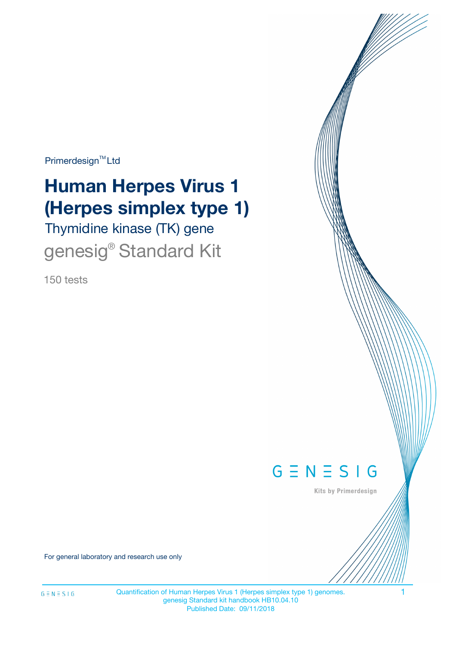Primerdesign<sup>™</sup>Ltd

# **Human Herpes Virus 1 (Herpes simplex type 1)**

Thymidine kinase (TK) gene genesig<sup>®</sup> Standard Kit

150 tests



Kits by Primerdesign

For general laboratory and research use only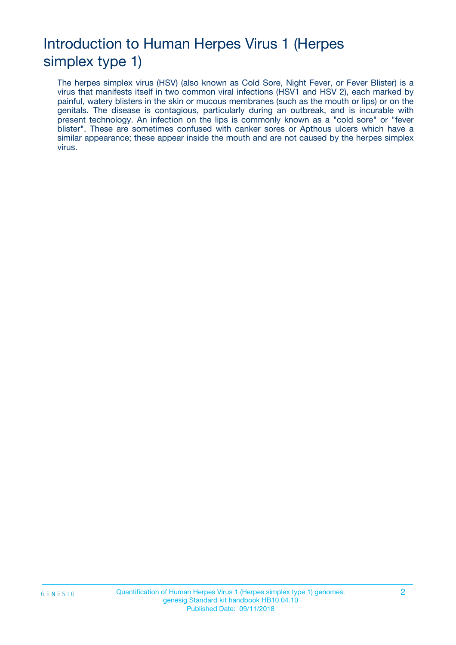# Introduction to Human Herpes Virus 1 (Herpes simplex type 1)

The herpes simplex virus (HSV) (also known as Cold Sore, Night Fever, or Fever Blister) is a virus that manifests itself in two common viral infections (HSV1 and HSV 2), each marked by painful, watery blisters in the skin or mucous membranes (such as the mouth or lips) or on the genitals. The disease is contagious, particularly during an outbreak, and is incurable with present technology. An infection on the lips is commonly known as a "cold sore" or "fever blister". These are sometimes confused with canker sores or Apthous ulcers which have a similar appearance; these appear inside the mouth and are not caused by the herpes simplex virus.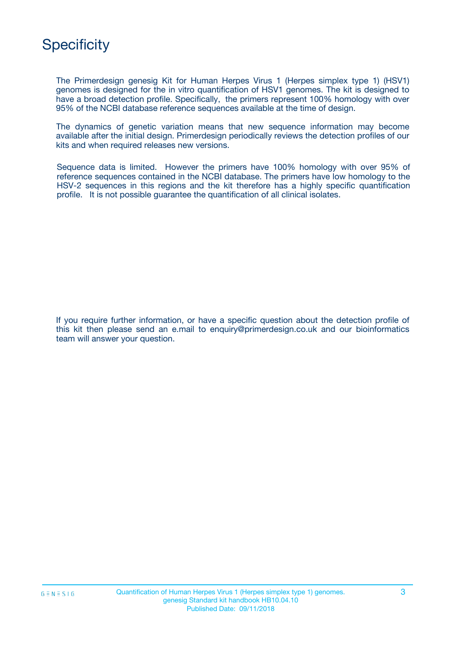

The Primerdesign genesig Kit for Human Herpes Virus 1 (Herpes simplex type 1) (HSV1) genomes is designed for the in vitro quantification of HSV1 genomes. The kit is designed to have a broad detection profile. Specifically, the primers represent 100% homology with over 95% of the NCBI database reference sequences available at the time of design.

The dynamics of genetic variation means that new sequence information may become available after the initial design. Primerdesign periodically reviews the detection profiles of our kits and when required releases new versions.

Sequence data is limited. However the primers have 100% homology with over 95% of reference sequences contained in the NCBI database. The primers have low homology to the HSV-2 sequences in this regions and the kit therefore has a highly specific quantification profile. It is not possible guarantee the quantification of all clinical isolates.

If you require further information, or have a specific question about the detection profile of this kit then please send an e.mail to enquiry@primerdesign.co.uk and our bioinformatics team will answer your question.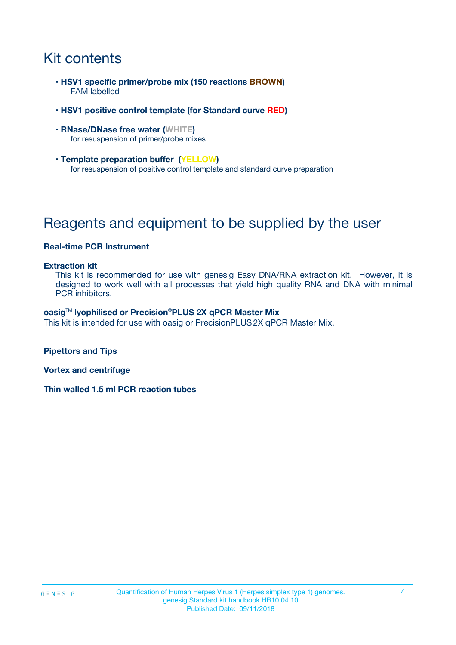# Kit contents

- **HSV1 specific primer/probe mix (150 reactions BROWN)** FAM labelled
- **HSV1 positive control template (for Standard curve RED)**
- **RNase/DNase free water (WHITE)** for resuspension of primer/probe mixes
- **Template preparation buffer (YELLOW)** for resuspension of positive control template and standard curve preparation

# Reagents and equipment to be supplied by the user

#### **Real-time PCR Instrument**

#### **Extraction kit**

This kit is recommended for use with genesig Easy DNA/RNA extraction kit. However, it is designed to work well with all processes that yield high quality RNA and DNA with minimal PCR inhibitors.

#### **oasig**TM **lyophilised or Precision**®**PLUS 2X qPCR Master Mix**

This kit is intended for use with oasig or PrecisionPLUS2X qPCR Master Mix.

**Pipettors and Tips**

**Vortex and centrifuge**

**Thin walled 1.5 ml PCR reaction tubes**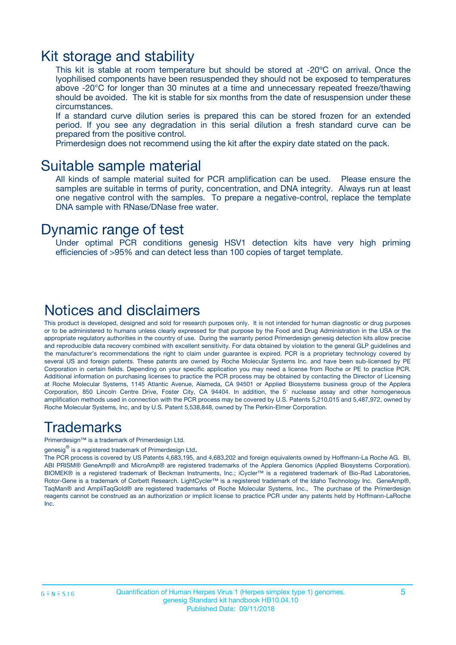### Kit storage and stability

This kit is stable at room temperature but should be stored at -20ºC on arrival. Once the lyophilised components have been resuspended they should not be exposed to temperatures above -20°C for longer than 30 minutes at a time and unnecessary repeated freeze/thawing should be avoided. The kit is stable for six months from the date of resuspension under these circumstances.

If a standard curve dilution series is prepared this can be stored frozen for an extended period. If you see any degradation in this serial dilution a fresh standard curve can be prepared from the positive control.

Primerdesign does not recommend using the kit after the expiry date stated on the pack.

### Suitable sample material

All kinds of sample material suited for PCR amplification can be used. Please ensure the samples are suitable in terms of purity, concentration, and DNA integrity. Always run at least one negative control with the samples. To prepare a negative-control, replace the template DNA sample with RNase/DNase free water.

### Dynamic range of test

Under optimal PCR conditions genesig HSV1 detection kits have very high priming efficiencies of >95% and can detect less than 100 copies of target template.

### Notices and disclaimers

This product is developed, designed and sold for research purposes only. It is not intended for human diagnostic or drug purposes or to be administered to humans unless clearly expressed for that purpose by the Food and Drug Administration in the USA or the appropriate regulatory authorities in the country of use. During the warranty period Primerdesign genesig detection kits allow precise and reproducible data recovery combined with excellent sensitivity. For data obtained by violation to the general GLP guidelines and the manufacturer's recommendations the right to claim under guarantee is expired. PCR is a proprietary technology covered by several US and foreign patents. These patents are owned by Roche Molecular Systems Inc. and have been sub-licensed by PE Corporation in certain fields. Depending on your specific application you may need a license from Roche or PE to practice PCR. Additional information on purchasing licenses to practice the PCR process may be obtained by contacting the Director of Licensing at Roche Molecular Systems, 1145 Atlantic Avenue, Alameda, CA 94501 or Applied Biosystems business group of the Applera Corporation, 850 Lincoln Centre Drive, Foster City, CA 94404. In addition, the 5' nuclease assay and other homogeneous amplification methods used in connection with the PCR process may be covered by U.S. Patents 5,210,015 and 5,487,972, owned by Roche Molecular Systems, Inc, and by U.S. Patent 5,538,848, owned by The Perkin-Elmer Corporation.

### Trademarks

Primerdesign™ is a trademark of Primerdesign Ltd.

genesig $^\circledR$  is a registered trademark of Primerdesign Ltd.

The PCR process is covered by US Patents 4,683,195, and 4,683,202 and foreign equivalents owned by Hoffmann-La Roche AG. BI, ABI PRISM® GeneAmp® and MicroAmp® are registered trademarks of the Applera Genomics (Applied Biosystems Corporation). BIOMEK® is a registered trademark of Beckman Instruments, Inc.; iCycler™ is a registered trademark of Bio-Rad Laboratories, Rotor-Gene is a trademark of Corbett Research. LightCycler™ is a registered trademark of the Idaho Technology Inc. GeneAmp®, TaqMan® and AmpliTaqGold® are registered trademarks of Roche Molecular Systems, Inc., The purchase of the Primerdesign reagents cannot be construed as an authorization or implicit license to practice PCR under any patents held by Hoffmann-LaRoche Inc.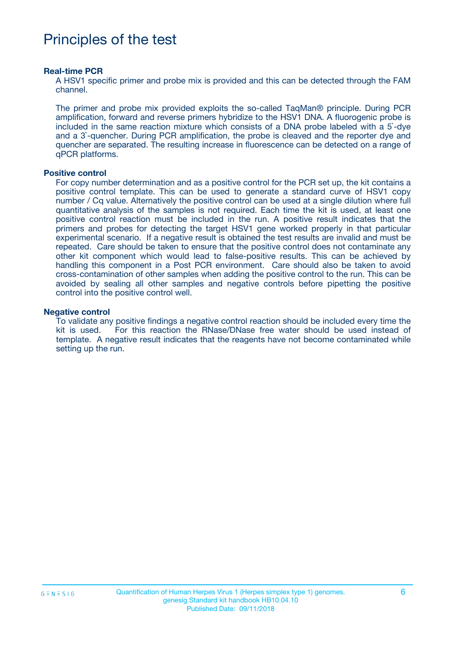## Principles of the test

#### **Real-time PCR**

A HSV1 specific primer and probe mix is provided and this can be detected through the FAM channel.

The primer and probe mix provided exploits the so-called TaqMan® principle. During PCR amplification, forward and reverse primers hybridize to the HSV1 DNA. A fluorogenic probe is included in the same reaction mixture which consists of a DNA probe labeled with a 5`-dye and a 3`-quencher. During PCR amplification, the probe is cleaved and the reporter dye and quencher are separated. The resulting increase in fluorescence can be detected on a range of qPCR platforms.

#### **Positive control**

For copy number determination and as a positive control for the PCR set up, the kit contains a positive control template. This can be used to generate a standard curve of HSV1 copy number / Cq value. Alternatively the positive control can be used at a single dilution where full quantitative analysis of the samples is not required. Each time the kit is used, at least one positive control reaction must be included in the run. A positive result indicates that the primers and probes for detecting the target HSV1 gene worked properly in that particular experimental scenario. If a negative result is obtained the test results are invalid and must be repeated. Care should be taken to ensure that the positive control does not contaminate any other kit component which would lead to false-positive results. This can be achieved by handling this component in a Post PCR environment. Care should also be taken to avoid cross-contamination of other samples when adding the positive control to the run. This can be avoided by sealing all other samples and negative controls before pipetting the positive control into the positive control well.

#### **Negative control**

To validate any positive findings a negative control reaction should be included every time the kit is used. For this reaction the RNase/DNase free water should be used instead of template. A negative result indicates that the reagents have not become contaminated while setting up the run.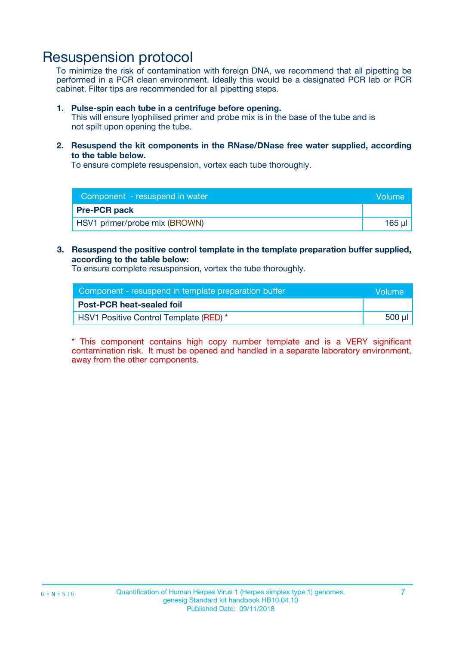### Resuspension protocol

To minimize the risk of contamination with foreign DNA, we recommend that all pipetting be performed in a PCR clean environment. Ideally this would be a designated PCR lab or PCR cabinet. Filter tips are recommended for all pipetting steps.

#### **1. Pulse-spin each tube in a centrifuge before opening.**

This will ensure lyophilised primer and probe mix is in the base of the tube and is not spilt upon opening the tube.

**2. Resuspend the kit components in the RNase/DNase free water supplied, according to the table below.**

To ensure complete resuspension, vortex each tube thoroughly.

| Component - resuspend in water | Volume |
|--------------------------------|--------|
| <b>Pre-PCR pack</b>            |        |
| HSV1 primer/probe mix (BROWN)  | 165 ul |

**3. Resuspend the positive control template in the template preparation buffer supplied, according to the table below:**

To ensure complete resuspension, vortex the tube thoroughly.

| Component - resuspend in template preparation buffer | <b>Nolume</b> |
|------------------------------------------------------|---------------|
| <b>Post-PCR heat-sealed foil</b>                     |               |
| HSV1 Positive Control Template (RED) *               | 500 µl        |

\* This component contains high copy number template and is a VERY significant contamination risk. It must be opened and handled in a separate laboratory environment, away from the other components.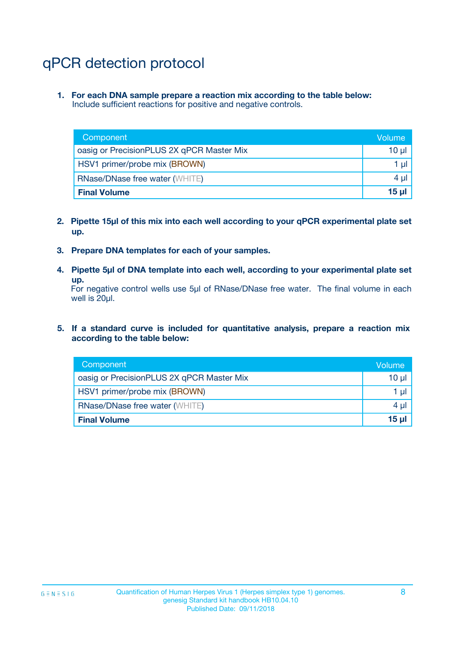# qPCR detection protocol

**1. For each DNA sample prepare a reaction mix according to the table below:** Include sufficient reactions for positive and negative controls.

| Component                                 | Volume          |
|-------------------------------------------|-----------------|
| oasig or PrecisionPLUS 2X qPCR Master Mix | 10 $\mu$        |
| HSV1 primer/probe mix (BROWN)             | 1 $\mu$         |
| <b>RNase/DNase free water (WHITE)</b>     | $4 \mu$         |
| <b>Final Volume</b>                       | 15 <sub>µ</sub> |

- **2. Pipette 15µl of this mix into each well according to your qPCR experimental plate set up.**
- **3. Prepare DNA templates for each of your samples.**
- **4. Pipette 5µl of DNA template into each well, according to your experimental plate set up.**

For negative control wells use 5µl of RNase/DNase free water. The final volume in each well is 20µl.

**5. If a standard curve is included for quantitative analysis, prepare a reaction mix according to the table below:**

| Component                                 | Volume     |
|-------------------------------------------|------------|
| oasig or PrecisionPLUS 2X qPCR Master Mix | $10 \mu$   |
| HSV1 primer/probe mix (BROWN)             | 1 µI       |
| <b>RNase/DNase free water (WHITE)</b>     | $4 \mu$    |
| <b>Final Volume</b>                       | $15$ $\mu$ |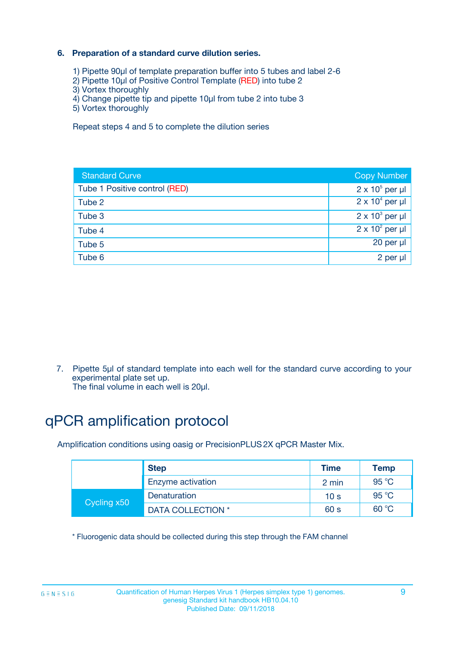### **6. Preparation of a standard curve dilution series.**

- 1) Pipette 90µl of template preparation buffer into 5 tubes and label 2-6
- 2) Pipette 10µl of Positive Control Template (RED) into tube 2
- 3) Vortex thoroughly
- 4) Change pipette tip and pipette 10µl from tube 2 into tube 3
- 5) Vortex thoroughly

Repeat steps 4 and 5 to complete the dilution series

| <b>Standard Curve</b>         | <b>Copy Number</b>     |
|-------------------------------|------------------------|
| Tube 1 Positive control (RED) | $2 \times 10^5$ per µl |
| Tube 2                        | $2 \times 10^4$ per µl |
| Tube 3                        | $2 \times 10^3$ per µl |
| Tube 4                        | $2 \times 10^2$ per µl |
| Tube 5                        | 20 per µl              |
| Tube 6                        | $2$ per $\mu$          |

7. Pipette 5µl of standard template into each well for the standard curve according to your experimental plate set up.

The final volume in each well is 20µl.

# qPCR amplification protocol

Amplification conditions using oasig or PrecisionPLUS2X qPCR Master Mix.

|             | <b>Step</b>       | <b>Time</b>     | Temp    |
|-------------|-------------------|-----------------|---------|
|             | Enzyme activation | 2 min           | 95 °C   |
| Cycling x50 | Denaturation      | 10 <sub>s</sub> | 95 $°C$ |
|             | DATA COLLECTION * | 60 s            | 60 °C   |

\* Fluorogenic data should be collected during this step through the FAM channel